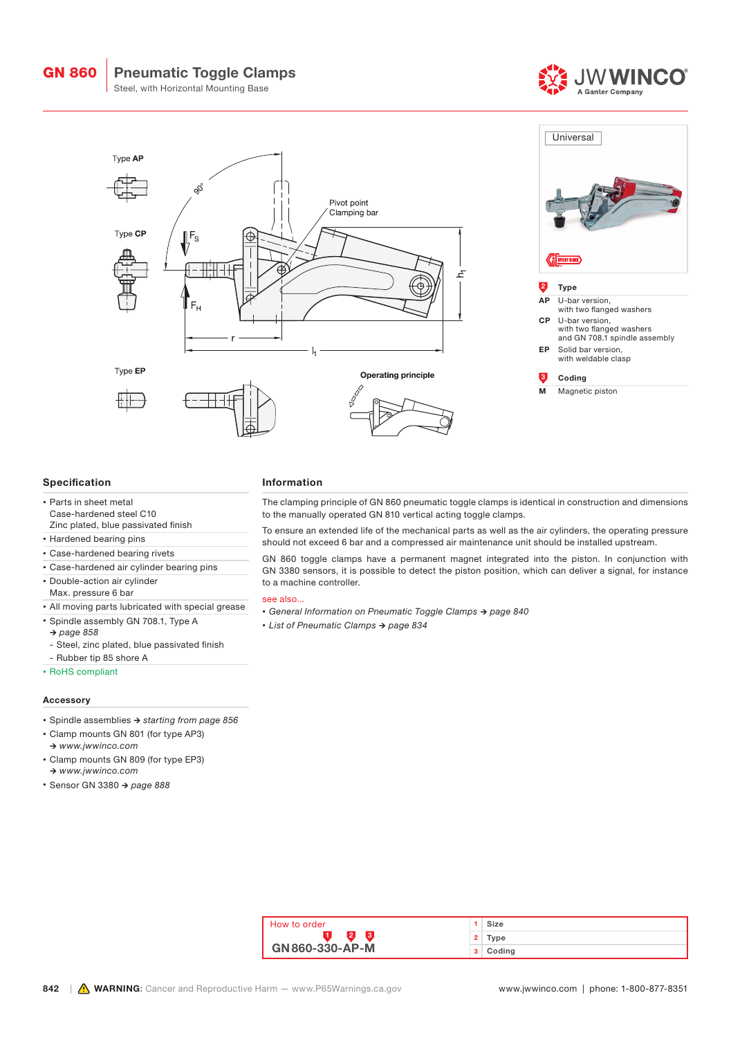Pneumatic Toggle Clamps

Steel, with Horizontal Mounting Base





## Specification

- Parts in sheet metal Case-hardened steel C10 Zinc plated, blue passivated finish
- Hardened bearing pins
- Case-hardened bearing rivets
- Case-hardened air cylinder bearing pins
- Double-action air cylinder
- Max. pressure 6 bar
- All moving parts lubricated with special grease
- Spindle assembly GN 708.1, Type A
- *→ page 858*
- Steel, zinc plated, blue passivated finish
- Rubber tip 85 shore A
- RoHS compliant

## Accessory

- Spindle assemblies *→ starting from page 856*
- Clamp mounts GN 801 (for type AP3) *→ www.jwwinco.com*
- Clamp mounts GN 809 (for type EP3) *→ www.jwwinco.com*
- Sensor GN 3380 *→ page 888*

#### Information

The clamping principle of GN 860 pneumatic toggle clamps is identical in construction and dimensions to the manually operated GN 810 vertical acting toggle clamps.

To ensure an extended life of the mechanical parts as well as the air cylinders, the operating pressure should not exceed 6 bar and a compressed air maintenance unit should be installed upstream.

GN 860 toggle clamps have a permanent magnet integrated into the piston. In conjunction with GN 3380 sensors, it is possible to detect the piston position, which can deliver a signal, for instance to a machine controller.

## see also...

- *• General Information on Pneumatic Toggle Clamps → page 840*
- *• List of Pneumatic Clamps → page 834*

| How to order    |    | Size   |
|-----------------|----|--------|
|                 | 2  | Type   |
| GN 860-330-AP-M | з. | Coding |